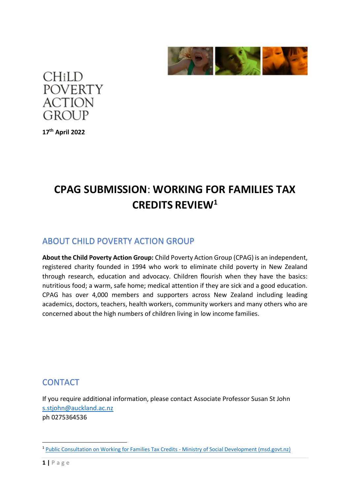



**17th April 2022**

# **CPAG SUBMISSION**: **WORKING FOR FAMILIES TAX CREDITS REVIEW<sup>1</sup>**

### ABOUT CHILD POVERTY ACTION GROUP

**About the Child Poverty Action Group:** Child Poverty Action Group (CPAG) is an independent, registered charity founded in 1994 who work to eliminate child poverty in New Zealand through research, education and advocacy. Children flourish when they have the basics: nutritious food; a warm, safe home; medical attention if they are sick and a good education. CPAG has over 4,000 members and supporters across New Zealand including leading academics, doctors, teachers, health workers, community workers and many others who are concerned about the high numbers of children living in low income families.

# **CONTACT**

If you require additional information, please contact Associate Professor Susan St John [s.stjohn@auckland.ac.nz](mailto:s.stjohn@auckland.ac.nz) ph 0275364536

<sup>&</sup>lt;sup>1</sup> [Public Consultation on Working for Families Tax Credits -](https://www.msd.govt.nz/about-msd-and-our-work/work-programmes/welfare-overhaul/public-consultation-on-working-for-families-tax-credits.html) Ministry of Social Development (msd.govt.nz)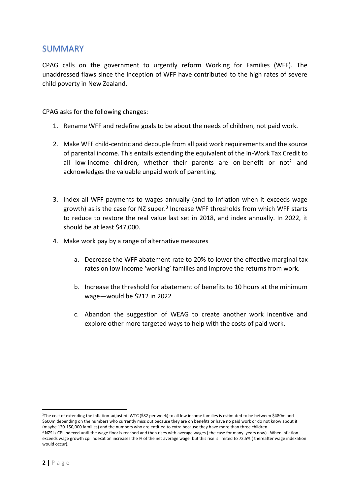#### SUMMARY

CPAG calls on the government to urgently reform Working for Families (WFF). The unaddressed flaws since the inception of WFF have contributed to the high rates of severe child poverty in New Zealand.

CPAG asks for the following changes:

- 1. Rename WFF and redefine goals to be about the needs of children, not paid work.
- 2. Make WFF child-centric and decouple from all paid work requirements and the source of parental income. This entails extending the equivalent of the In-Work Tax Credit to all low-income children, whether their parents are on-benefit or not<sup>2</sup> and acknowledges the valuable unpaid work of parenting.
- 3. Index all WFF payments to wages annually (and to inflation when it exceeds wage growth) as is the case for NZ super.<sup>3</sup> Increase WFF thresholds from which WFF starts to reduce to restore the real value last set in 2018, and index annually. In 2022, it should be at least \$47,000.
- 4. Make work pay by a range of alternative measures
	- a. Decrease the WFF abatement rate to 20% to lower the effective marginal tax rates on low income 'working' families and improve the returns from work.
	- b. Increase the threshold for abatement of benefits to 10 hours at the minimum wage—would be \$212 in 2022
	- c. Abandon the suggestion of WEAG to create another work incentive and explore other more targeted ways to help with the costs of paid work.

<sup>&</sup>lt;sup>2</sup>The cost of extending the inflation-adjusted IWTC (\$82 per week) to all low income families is estimated to be between \$480m and \$600m depending on the numbers who currently miss out because they are on benefits or have no paid work or do not know about it (maybe 120-150,000 families) and the numbers who are entitled to extra because they have more than three children. <sup>3</sup> NZS is CPI indexed until the wage floor is reached and then rises with average wages (the case for many years now). When inflation exceeds wage growth cpi indexation increases the % of the net average wage but this rise is limited to 72.5% ( thereafter wage indexation would occur).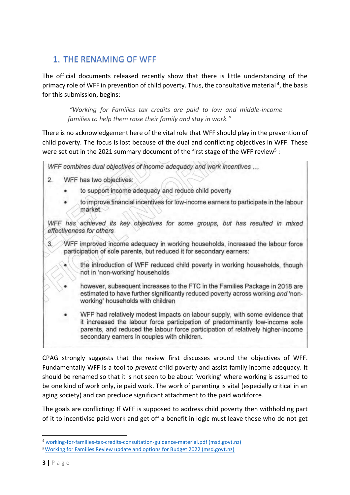# 1. THE RENAMING OF WFF

The official documents released recently show that there is little understanding of the primacy role of WFF in prevention of child poverty. Thus, the consultative material<sup>4</sup>, the basis for this submission, begins:

*"Working for Families tax credits are paid to low and middle-income families to help them raise their family and stay in work."* 

There is no acknowledgement here of the vital role that WFF should play in the prevention of child poverty. The focus is lost because of the dual and conflicting objectives in WFF. These were set out in the 2021 summary document of the first stage of the WFF review<sup>5</sup>:

WFF combines dual objectives of income adequacy and work incentives ...

- WFF has two objectives:  $2.$ 
	- to support income adequacy and reduce child poverty
	- to improve financial incentives for low-income earners to participate in the labour market.

WFF has achieved its key objectives for some groups, but has resulted in mixed effectiveness for others

- WFF improved income adequacy in working households, increased the labour force  $\mathcal{R}$ participation of sole parents, but reduced it for secondary earners:
	- the introduction of WFF reduced child poverty in working households, though not in 'non-working' households
	- however, subsequent increases to the FTC in the Families Package in 2018 are estimated to have further significantly reduced poverty across working and 'nonworking' households with children

WFF had relatively modest impacts on labour supply, with some evidence that it increased the labour force participation of predominantly low-income sole parents, and reduced the labour force participation of relatively higher-income secondary earners in couples with children.

CPAG strongly suggests that the review first discusses around the objectives of WFF. Fundamentally WFF is a tool to *prevent* child poverty and assist family income adequacy. It should be renamed so that it is not seen to be about 'working' where working is assumed to be one kind of work only, ie paid work. The work of parenting is vital (especially critical in an aging society) and can preclude significant attachment to the paid workforce.

The goals are conflicting: If WFF is supposed to address child poverty then withholding part of it to incentivise paid work and get off a benefit in logic must leave those who do not get

<sup>4</sup> [working-for-families-tax-credits-consultation-guidance-material.pdf \(msd.govt.nz\)](https://www.msd.govt.nz/documents/about-msd-and-our-work/work-programmes/welfare-overhaul/working-for-families-tax-credits-consultation-guidance-material.pdf)

<sup>5</sup> [Working for Families Review update and options for Budget 2022 \(msd.govt.nz\)](https://www.msd.govt.nz/documents/about-msd-and-our-work/publications-resources/information-releases/cabinet-papers/2022/working-for-families-review/working-for-families-review-update-and-options-for-budget-2022.pdf)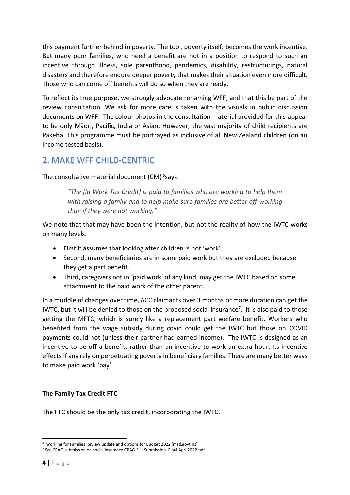this payment further behind in poverty. The tool, poverty itself, becomes the work incentive. But many poor families, who need a benefit are not in a position to respond to such an incentive through illness, sole parenthood, pandemics, disability, restructurings, natural disasters and therefore endure deeper poverty that makes their situation even more difficult. Those who can come off benefits will do so when they are ready.

To reflect its true purpose, we strongly advocate renaming WFF, and that this be part of the review consultation. We ask for more care is taken with the visuals in public discussion documents on WFF. The colour photos in the consultation material provided for this appear to be only Māori, Pacific, India or Asian. However, the vast majority of child recipients are Pākehā. This programme must be portrayed as inclusive of all New Zealand children (on an income tested basis).

# 2. MAKE WFF CHILD-CENTRIC

The consultative material document (CM)<sup>6</sup>says:

*"The [In Work Tax Credit] is paid to families who are working to help them with raising a family and to help make sure families are better off working than if they were not working."*

We note that that may have been the intention, but not the reality of how the IWTC works on many levels.

- First it assumes that looking after children is not 'work'.
- Second, many beneficiaries are in some paid work but they are excluded because they get a part benefit.
- Third, caregivers not in 'paid work' of any kind, may get the IWTC based on some attachment to the paid work of the other parent.

In a muddle of changes over time, ACC claimants over 3 months or more duration can get the IWTC, but it will be denied to those on the proposed social insurance<sup>7</sup>. It is also paid to those getting the MFTC, which is surely like a replacement part welfare benefit. Workers who benefited from the wage subsidy during covid could get the IWTC but those on COVID payments could not (unless their partner had earned income). The IWTC is designed as an incentive to be off a benefit, rather than an incentive to work an extra hour. Its incentive effects if any rely on perpetuating poverty in beneficiary families. There are many better ways to make paid work 'pay'.

#### **The Family Tax Credit FTC**

The FTC should be the only tax credit, incorporating the IWTC.

<sup>6</sup>  [Working for Families Review update and options for Budget 2022 \(msd.govt.nz\)](https://www.msd.govt.nz/documents/about-msd-and-our-work/publications-resources/information-releases/cabinet-papers/2022/working-for-families-review/working-for-families-review-update-and-options-for-budget-2022.pdf)

<sup>7</sup> See CPAG submission on social insuranc[e CPAG-SUI-Submission\\_Final-April2022.pdf](https://www.cpag.org.nz/assets/Submissions/CPAG-SUI-Submission_Final-April2022.pdf)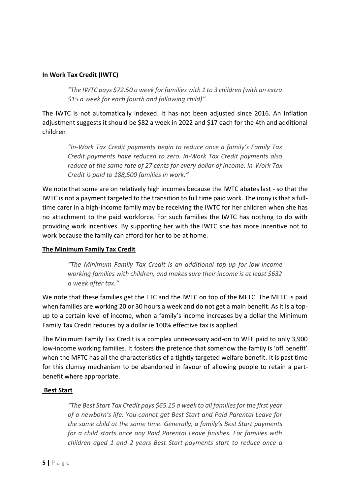#### **In Work Tax Credit (IWTC)**

*"The IWTC pays \$72.50 a week for families with 1 to 3 children (with an extra \$15 a week for each fourth and following child)".* 

The IWTC is not automatically indexed. It has not been adjusted since 2016. An Inflation adjustment suggests it should be \$82 a week in 2022 and \$17 each for the 4th and additional children

*"In-Work Tax Credit payments begin to reduce once a family's Family Tax Credit payments have reduced to zero. In-Work Tax Credit payments also reduce at the same rate of 27 cents for every dollar of income. In-Work Tax Credit is paid to 188,500 families in work."* 

We note that some are on relatively high incomes because the IWTC abates last - so that the IWTC is not a payment targeted to the transition to full time paid work. The irony is that a fulltime carer in a high-income family may be receiving the IWTC for her children when she has no attachment to the paid workforce. For such families the IWTC has nothing to do with providing work incentives. By supporting her with the IWTC she has more incentive not to work because the family can afford for her to be at home.

#### **The Minimum Family Tax Credit**

*"The Minimum Family Tax Credit is an additional top-up for low-income working families with children, and makes sure their income is at least \$632 a week after tax."* 

We note that these families get the FTC and the IWTC on top of the MFTC. The MFTC is paid when families are working 20 or 30 hours a week and do not get a main benefit. As it is a topup to a certain level of income, when a family's income increases by a dollar the Minimum Family Tax Credit reduces by a dollar ie 100% effective tax is applied.

The Minimum Family Tax Credit is a complex unnecessary add-on to WFF paid to only 3,900 low-income working families. It fosters the pretence that somehow the family is 'off benefit' when the MFTC has all the characteristics of a tightly targeted welfare benefit. It is past time for this clumsy mechanism to be abandoned in favour of allowing people to retain a partbenefit where appropriate.

#### **Best Start**

*"The Best Start Tax Credit pays \$65.15 a week to all families for the first year of a newborn's life. You cannot get Best Start and Paid Parental Leave for the same child at the same time. Generally, a family's Best Start payments for a child starts once any Paid Parental Leave finishes. For families with children aged 1 and 2 years Best Start payments start to reduce once a*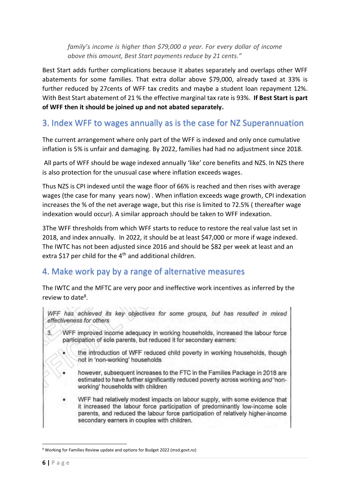*family's income is higher than \$79,000 a year. For every dollar of income above this amount, Best Start payments reduce by 21 cents."*

Best Start adds further complications because it abates separately and overlaps other WFF abatements for some families. That extra dollar above \$79,000, already taxed at 33% is further reduced by 27cents of WFF tax credits and maybe a student loan repayment 12%. With Best Start abatement of 21 % the effective marginal tax rate is 93%. **If Best Start is part of WFF then it should be joined up and not abated separately.**

# 3. Index WFF to wages annually as is the case for NZ Superannuation

The current arrangement where only part of the WFF is indexed and only once cumulative inflation is 5% is unfair and damaging. By 2022, families had had no adjustment since 2018.

All parts of WFF should be wage indexed annually 'like' core benefits and NZS. In NZS there is also protection for the unusual case where inflation exceeds wages.

Thus NZS is CPI indexed until the wage floor of 66% is reached and then rises with average wages (the case for many years now) . When inflation exceeds wage growth, CPI indexation increases the % of the net average wage, but this rise is limited to 72.5% ( thereafter wage indexation would occur). A similar approach should be taken to WFF indexation.

3The WFF thresholds from which WFF starts to reduce to restore the real value last set in 2018, and index annually. In 2022, it should be at least \$47,000 or more if wage indexed. The IWTC has not been adjusted since 2016 and should be \$82 per week at least and an extra \$17 per child for the  $4<sup>th</sup>$  and additional children.

# 4. Make work pay by a range of alternative measures

The IWTC and the MFTC are very poor and ineffective work incentives as inferred by the review to date<sup>8</sup>.

WFF has achieved its key objectives for some groups, but has resulted in mixed effectiveness for others  $3.$ WFF improved income adequacy in working households, increased the labour force participation of sole parents, but reduced it for secondary earners: the introduction of WFF reduced child poverty in working households, though not in 'non-working' households however, subsequent increases to the FTC in the Families Package in 2018 are estimated to have further significantly reduced poverty across working and 'nonworking' households with children WFF had relatively modest impacts on labour supply, with some evidence that it increased the labour force participation of predominantly low-income sole parents, and reduced the labour force participation of relatively higher-income secondary earners in couples with children.

<sup>8</sup> [Working for Families Review update and options for Budget 2022 \(msd.govt.nz\)](https://www.msd.govt.nz/documents/about-msd-and-our-work/publications-resources/information-releases/cabinet-papers/2022/working-for-families-review/working-for-families-review-update-and-options-for-budget-2022.pdf)